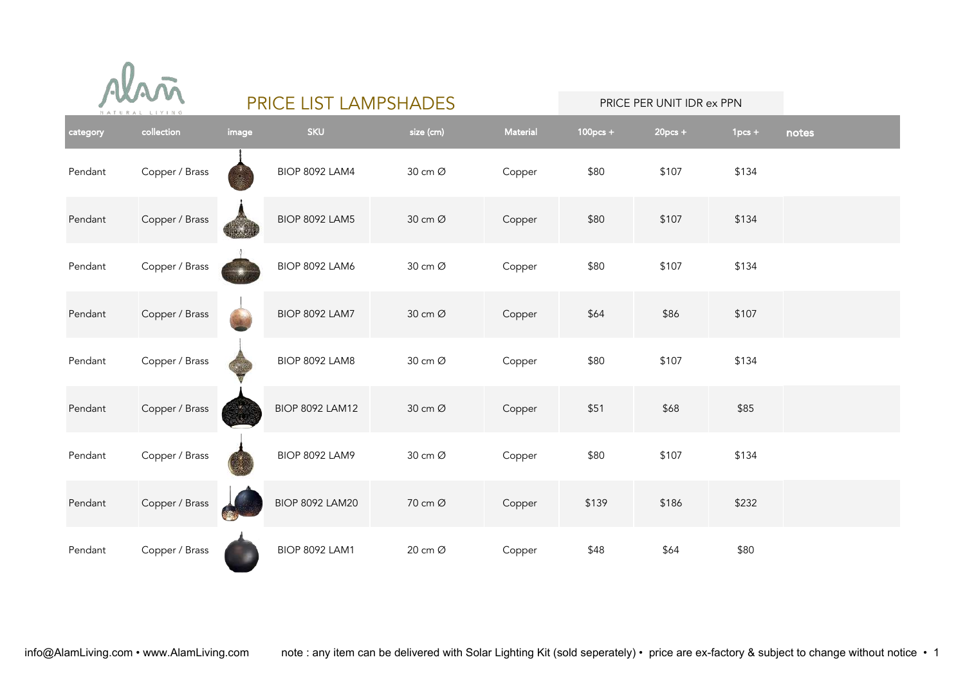|  |  |  |                |  |  |  | Alani |  |
|--|--|--|----------------|--|--|--|-------|--|
|  |  |  | NATURAL LIVING |  |  |  |       |  |

| category | collection     | image | <b>SKU</b>             | size (cm) | <b>Material</b> | $100$ pcs + | $20pcs +$ | $1pcs +$ | notes |
|----------|----------------|-------|------------------------|-----------|-----------------|-------------|-----------|----------|-------|
| Pendant  | Copper / Brass |       | <b>BIOP 8092 LAM4</b>  | 30 cm Ø   | Copper          | \$80        | \$107     | \$134    |       |
| Pendant  | Copper / Brass |       | <b>BIOP 8092 LAM5</b>  | 30 cm Ø   | Copper          | \$80        | \$107     | \$134    |       |
| Pendant  | Copper / Brass |       | <b>BIOP 8092 LAM6</b>  | 30 cm Ø   | Copper          | \$80        | \$107     | \$134    |       |
| Pendant  | Copper / Brass |       | <b>BIOP 8092 LAM7</b>  | 30 cm Ø   | Copper          | \$64        | \$86      | \$107    |       |
| Pendant  | Copper / Brass |       | BIOP 8092 LAM8         | 30 cm Ø   | Copper          | \$80        | \$107     | \$134    |       |
| Pendant  | Copper / Brass |       | <b>BIOP 8092 LAM12</b> | 30 cm Ø   | Copper          | \$51        | \$68      | \$85     |       |
| Pendant  | Copper / Brass |       | <b>BIOP 8092 LAM9</b>  | 30 cm Ø   | Copper          | \$80        | \$107     | \$134    |       |
| Pendant  | Copper / Brass |       | <b>BIOP 8092 LAM20</b> | 70 cm Ø   | Copper          | \$139       | \$186     | \$232    |       |
| Pendant  | Copper / Brass |       | <b>BIOP 8092 LAM1</b>  | 20 cm Ø   | Copper          | \$48        | \$64      | \$80     |       |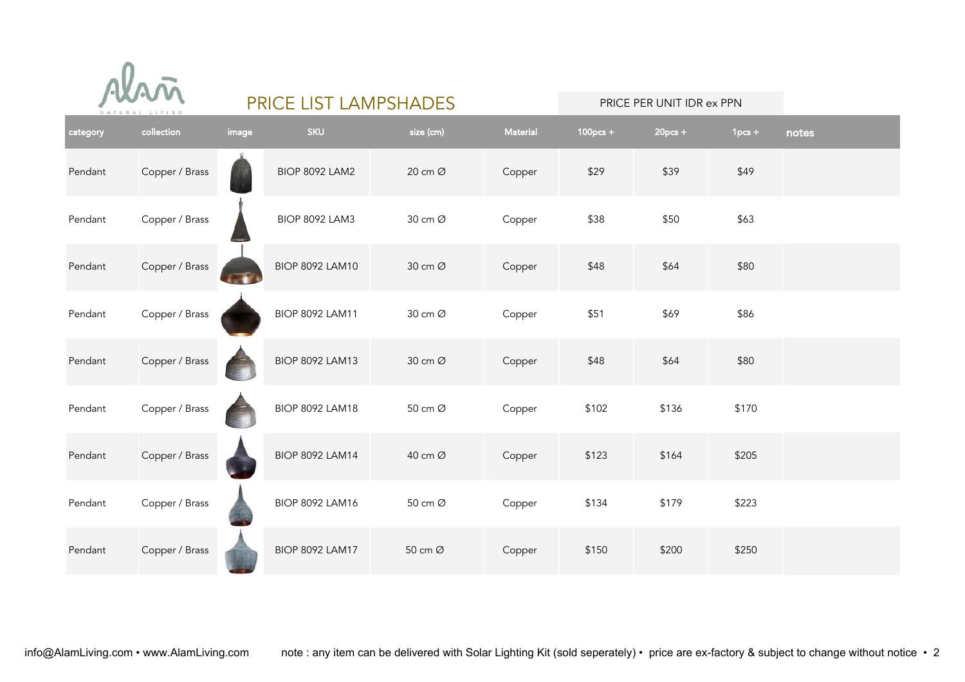

| category | collection     | image | <b>SKU</b>             | size (cm) | Material | $100pcs +$ | $20pcs +$ | $1pcs +$ | notes |
|----------|----------------|-------|------------------------|-----------|----------|------------|-----------|----------|-------|
| Pendant  | Copper / Brass |       | <b>BIOP 8092 LAM2</b>  | 20 cm Ø   | Copper   | \$29       | \$39      | \$49     |       |
| Pendant  | Copper / Brass |       | <b>BIOP 8092 LAM3</b>  | 30 cm Ø   | Copper   | \$38       | \$50      | \$63     |       |
| Pendant  | Copper / Brass | i. W  | <b>BIOP 8092 LAM10</b> | 30 cm Ø   | Copper   | \$48       | \$64      | \$80     |       |
| Pendant  | Copper / Brass |       | <b>BIOP 8092 LAM11</b> | 30 cm Ø   | Copper   | \$51       | \$69      | \$86     |       |
| Pendant  | Copper / Brass |       | <b>BIOP 8092 LAM13</b> | 30 cm Ø   | Copper   | \$48       | \$64      | \$80     |       |
| Pendant  | Copper / Brass |       | <b>BIOP 8092 LAM18</b> | 50 cm Ø   | Copper   | \$102      | \$136     | \$170    |       |
| Pendant  | Copper / Brass |       | <b>BIOP 8092 LAM14</b> | 40 cm Ø   | Copper   | \$123      | \$164     | \$205    |       |
| Pendant  | Copper / Brass |       | <b>BIOP 8092 LAM16</b> | 50 cm Ø   | Copper   | \$134      | \$179     | \$223    |       |
| Pendant  | Copper / Brass |       | <b>BIOP 8092 LAM17</b> | 50 cm Ø   | Copper   | \$150      | \$200     | \$250    |       |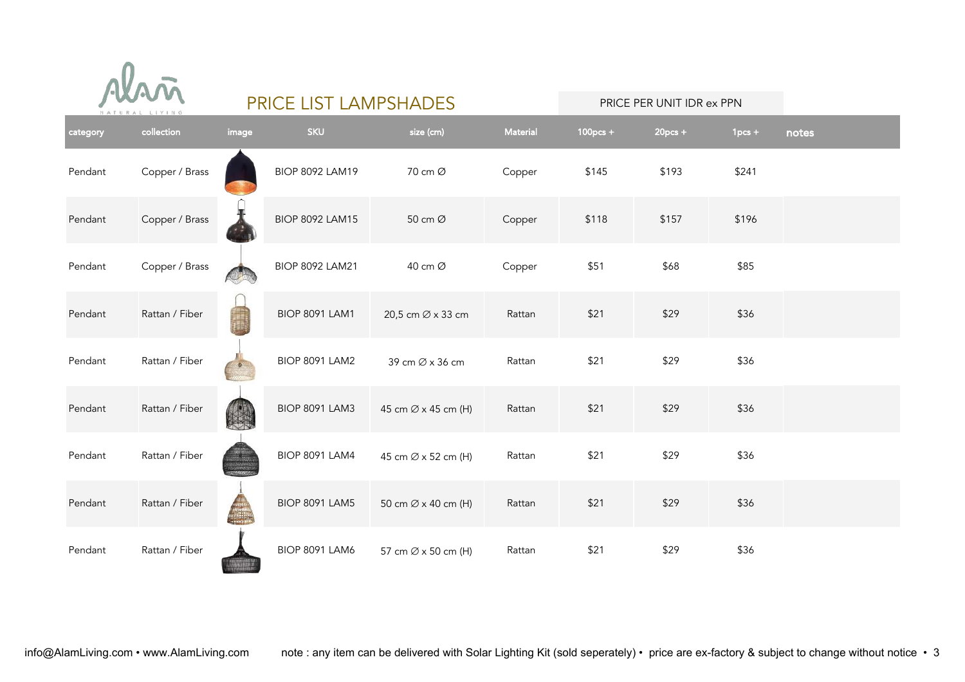

| category | collection     | image | <b>SKU</b>             | size (cm)                       | Material | $100$ pcs + | $20pcs +$ | $1pcs +$ | notes |
|----------|----------------|-------|------------------------|---------------------------------|----------|-------------|-----------|----------|-------|
| Pendant  | Copper / Brass |       | <b>BIOP 8092 LAM19</b> | 70 cm Ø                         | Copper   | \$145       | \$193     | \$241    |       |
| Pendant  | Copper / Brass |       | <b>BIOP 8092 LAM15</b> | 50 cm Ø                         | Copper   | \$118       | \$157     | \$196    |       |
| Pendant  | Copper / Brass |       | <b>BIOP 8092 LAM21</b> | 40 cm Ø                         | Copper   | \$51        | \$68      | \$85     |       |
| Pendant  | Rattan / Fiber |       | <b>BIOP 8091 LAM1</b>  | 20,5 cm Ø x 33 cm               | Rattan   | \$21        | \$29      | \$36     |       |
| Pendant  | Rattan / Fiber |       | <b>BIOP 8091 LAM2</b>  | 39 cm Ø x 36 cm                 | Rattan   | \$21        | \$29      | \$36     |       |
| Pendant  | Rattan / Fiber |       | <b>BIOP 8091 LAM3</b>  | 45 cm Ø x 45 cm (H)             | Rattan   | \$21        | \$29      | \$36     |       |
| Pendant  | Rattan / Fiber |       | <b>BIOP 8091 LAM4</b>  | 45 cm $\varnothing$ x 52 cm (H) | Rattan   | \$21        | \$29      | \$36     |       |
| Pendant  | Rattan / Fiber |       | <b>BIOP 8091 LAM5</b>  | 50 cm Ø x 40 cm (H)             | Rattan   | \$21        | \$29      | \$36     |       |
| Pendant  | Rattan / Fiber |       | <b>BIOP 8091 LAM6</b>  | 57 cm Ø x 50 cm (H)             | Rattan   | \$21        | \$29      | \$36     |       |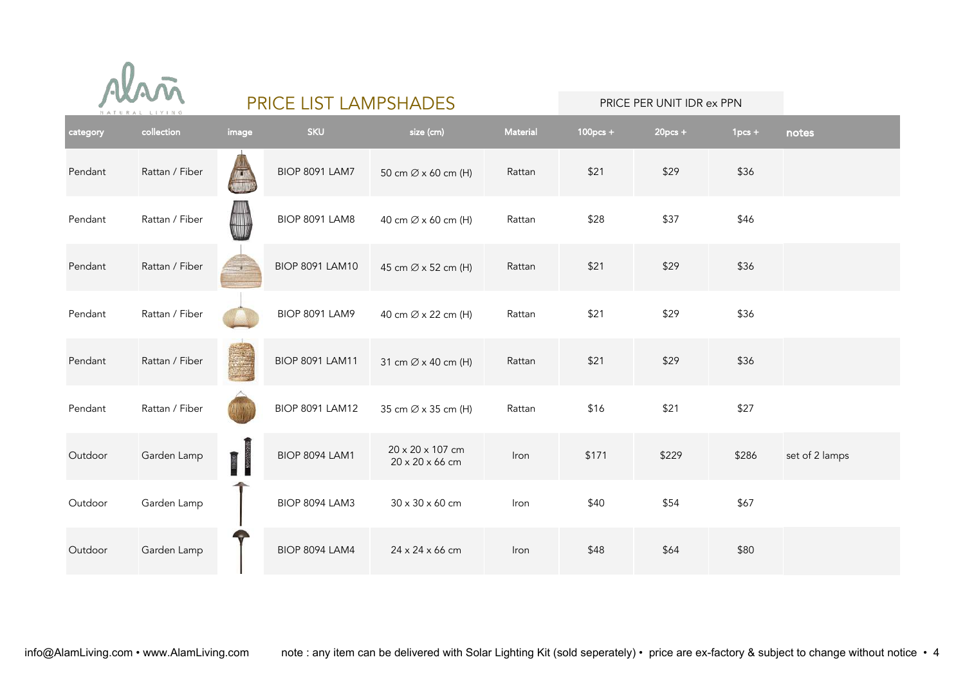

| category | collection     | image | <b>SKU</b>             | size (cm)                           | <b>Material</b> | $100$ pcs + | $20pcs +$ | $1pcs +$ | notes          |
|----------|----------------|-------|------------------------|-------------------------------------|-----------------|-------------|-----------|----------|----------------|
| Pendant  | Rattan / Fiber |       | <b>BIOP 8091 LAM7</b>  | 50 cm $\varnothing$ x 60 cm (H)     | Rattan          | \$21        | \$29      | \$36     |                |
| Pendant  | Rattan / Fiber |       | BIOP 8091 LAM8         | 40 cm Ø x 60 cm (H)                 | Rattan          | \$28        | \$37      | \$46     |                |
| Pendant  | Rattan / Fiber |       | <b>BIOP 8091 LAM10</b> | 45 cm Ø x 52 cm (H)                 | Rattan          | \$21        | \$29      | \$36     |                |
| Pendant  | Rattan / Fiber |       | <b>BIOP 8091 LAM9</b>  | 40 cm Ø x 22 cm (H)                 | Rattan          | \$21        | \$29      | \$36     |                |
| Pendant  | Rattan / Fiber |       | <b>BIOP 8091 LAM11</b> | 31 cm Ø x 40 cm (H)                 | Rattan          | \$21        | \$29      | \$36     |                |
| Pendant  | Rattan / Fiber |       | <b>BIOP 8091 LAM12</b> | 35 cm Ø x 35 cm (H)                 | Rattan          | \$16        | \$21      | \$27     |                |
| Outdoor  | Garden Lamp    | 富     | <b>BIOP 8094 LAM1</b>  | 20 x 20 x 107 cm<br>20 x 20 x 66 cm | Iron            | \$171       | \$229     | \$286    | set of 2 lamps |
| Outdoor  | Garden Lamp    |       | BIOP 8094 LAM3         | 30 x 30 x 60 cm                     | Iron            | \$40        | \$54      | \$67     |                |
| Outdoor  | Garden Lamp    |       | <b>BIOP 8094 LAM4</b>  | 24 x 24 x 66 cm                     | Iron            | \$48        | \$64      | \$80     |                |